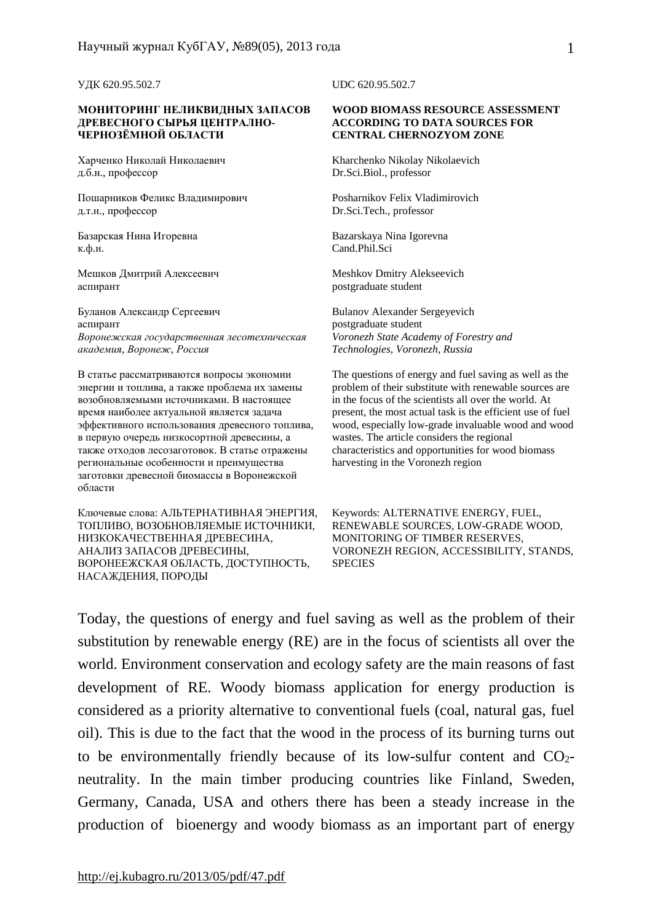УДК 620.95.502.7

## **МОНИТОРИНГ НЕЛИКВИДНЫХ ЗАПАСОВ ДРЕВЕСНОГО СЫРЬЯ ЦЕНТРАЛНО-ЧЕРНОЗЁМНОЙ ОБЛАСТИ**

Харченко Николай Николаевич д.б.н., профессор

Пошарников Феликс Владимирович д.т.н., профессор

Базарская Нина Игоревна к.ф.н.

Мешков Дмитрий Алексеевич аспирант

Буланов Александр Сергеевич аспирант *Воронежская государственная лесотехническая академия, Воронеж, Россия*

В статье рассматриваются вопросы экономии энергии и топлива, а также проблема их замены возобновляемыми источниками. В настоящее время наиболее актуальной является задача эффективного использования древесного топлива, в первую очередь низкосортной древесины, а также отходов лесозаготовок. В статье отражены региональные особенности и преимущества заготовки древесной биомассы в Воронежской области

Ключевые слова: АЛЬТЕРНАТИВНАЯ ЭНЕРГИЯ, ТОПЛИВО, ВОЗОБНОВЛЯЕМЫЕ ИСТОЧНИКИ, НИЗКОКАЧЕСТВЕННАЯ ДРЕВЕСИНА, АНАЛИЗ ЗАПАСОВ ДРЕВЕСИНЫ, ВОРОНЕЕЖСКАЯ ОБЛАСТЬ, ДОСТУПНОСТЬ, НАСАЖДЕНИЯ, ПОРОДЫ

UDC 620.95.502.7

## **WOOD BIOMASS RESOURCE ASSESSMENT ACCORDING TO DATA SOURCES FOR CENTRAL CHERNOZYOM ZONE**

Kharchenko Nikolay Nikolaevich Dr.Sci.Biol., professor

Posharnikov Felix Vladimirovich Dr.Sci.Tech., professor

Bazarskaya Nina Igorevna Cand.Phil.Sci

Meshkov Dmitry Alekseevich postgraduate student

Bulanov Alexander Sergeyevich postgraduate student *Voronezh State Academy of Forestry and Technologies, Voronezh, Russia* 

The questions of energy and fuel saving as well as the problem of their substitute with renewable sources are in the focus of the scientists all over the world. At present, the most actual task is the efficient use of fuel wood, especially low-grade invaluable wood and wood wastes. The article considers the regional characteristics and opportunities for wood biomass harvesting in the Voronezh region

Keywords: ALTERNATIVE ENERGY, FUEL, RENEWABLE SOURCES, LOW-GRADE WOOD, MONITORING OF TIMBER RESERVES, VORONEZH REGION, ACCESSIBILITY, STANDS, **SPECIES** 

Today, the questions of energy and fuel saving as well as the problem of their substitution by renewable energy (RE) are in the focus of scientists all over the world. Environment conservation and ecology safety are the main reasons of fast development of RE. Woody biomass application for energy production is considered as a priority alternative to conventional fuels (coal, natural gas, fuel oil). This is due to the fact that the wood in the process of its burning turns out to be environmentally friendly because of its low-sulfur content and  $CO<sub>2</sub>$ neutrality. In the main timber producing countries like Finland, Sweden, Germany, Canada, USA and others there has been a steady increase in the production of bioenergy and woody biomass as an important part of energy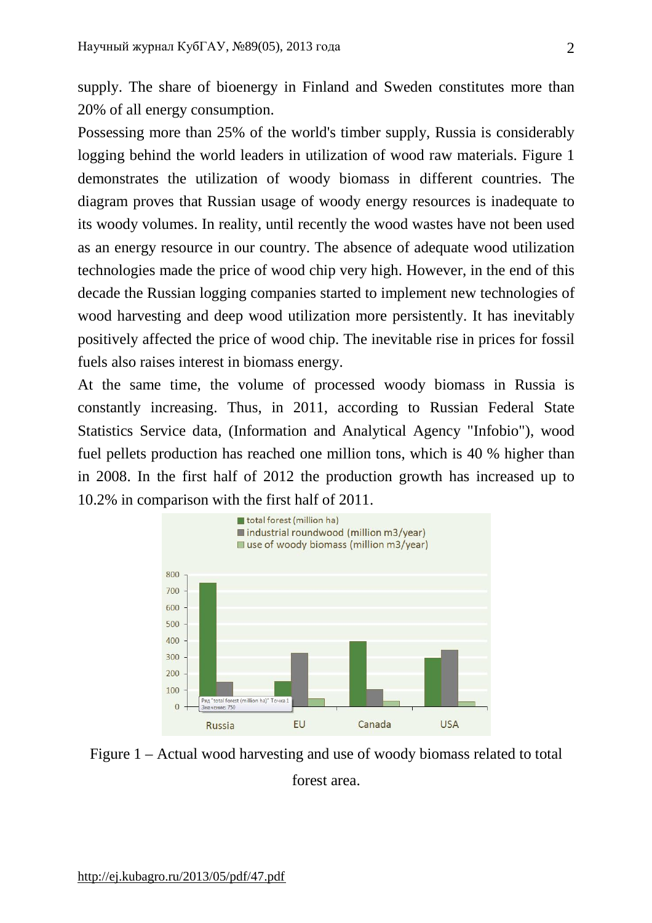supply. The share of bioenergy in Finland and Sweden constitutes more than 20% of all energy consumption.

Possessing more than 25% of the world's timber supply, Russia is considerably logging behind the world leaders in utilization of wood raw materials. Figure 1 demonstrates the utilization of woody biomass in different countries. The diagram proves that Russian usage of woody energy resources is inadequate to its woody volumes. In reality, until recently the wood wastes have not been used as an energy resource in our country. The absence of adequate wood utilization technologies made the price of wood chip very high. However, in the end of this decade the Russian logging companies started to implement new technologies of wood harvesting and deep wood utilization more persistently. It has inevitably positively affected the price of wood chip. The inevitable rise in prices for fossil fuels also raises interest in biomass energy.

At the same time, the volume of processed woody biomass in Russia is constantly increasing. Thus, in 2011, according to Russian Federal State Statistics Service data, (Information and Analytical Agency "Infobio"), wood fuel pellets production has reached one million tons, which is 40 % higher than in 2008. In the first half of 2012 the production growth has increased up to 10.2% in comparison with the first half of 2011.





forest area.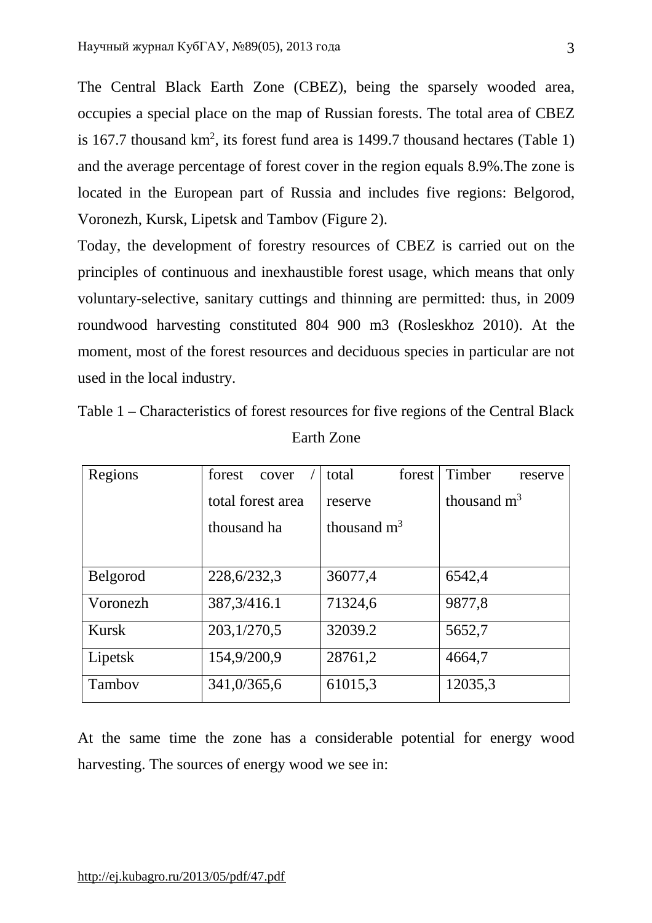The Central Black Earth Zone (CBEZ), being the sparsely wooded area, occupies a special place on the map of Russian forests. The total area of CBEZ is 167.7 thousand  $km^2$ , its forest fund area is 1499.7 thousand hectares (Table 1) and the average percentage of forest cover in the region equals 8.9%.The zone is located in the European part of Russia and includes five regions: Belgorod, Voronezh, Kursk, Lipetsk and Tambov (Figure 2).

Today, the development of forestry resources of CBEZ is carried out on the principles of continuous and inexhaustible forest usage, which means that only voluntary-selective, sanitary cuttings and thinning are permitted: thus, in 2009 roundwood harvesting constituted 804 900 m3 (Rosleskhoz 2010). At the moment, most of the forest resources and deciduous species in particular are not used in the local industry.

| Regions         | forest<br>cover   | forest<br>total | Timber<br>reserve |
|-----------------|-------------------|-----------------|-------------------|
|                 | total forest area | reserve         | thousand $m3$     |
|                 | thousand ha       | thousand $m3$   |                   |
|                 |                   |                 |                   |
| <b>Belgorod</b> | 228,6/232,3       | 36077,4         | 6542,4            |
| Voronezh        | 387, 3/416.1      | 71324,6         | 9877,8            |
| Kursk           | 203,1/270,5       | 32039.2         | 5652,7            |
| Lipetsk         | 154,9/200,9       | 28761,2         | 4664,7            |
| Tambov          | 341,0/365,6       | 61015,3         | 12035,3           |

Table 1 – Characteristics of forest resources for five regions of the Central Black

Earth Zone

At the same time the zone has a considerable potential for energy wood harvesting. The sources of energy wood we see in: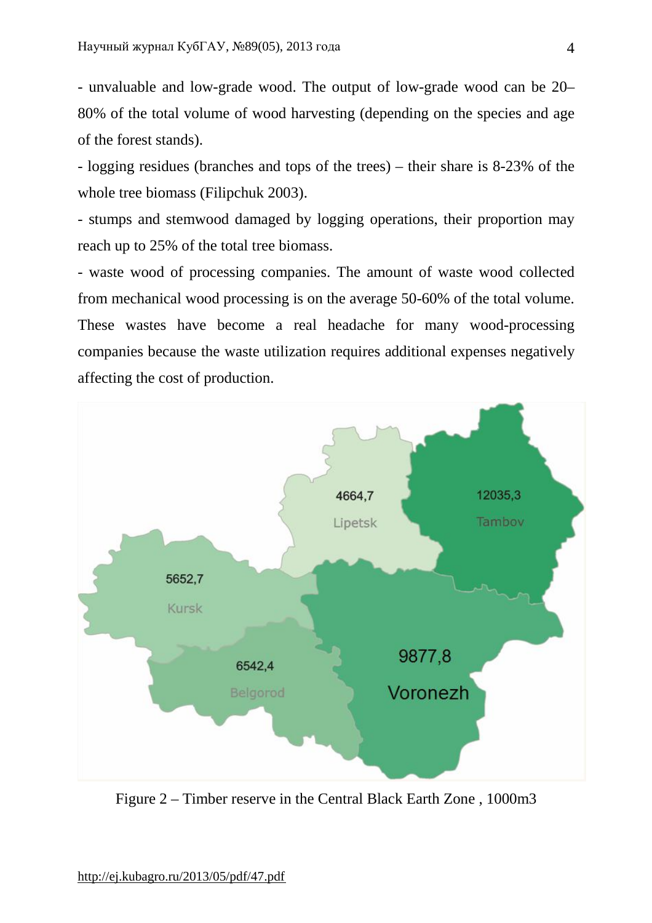- unvaluable and low-grade wood. The output of low-grade wood can be 20– 80% of the total volume of wood harvesting (depending on the species and age of the forest stands).

- logging residues (branches and tops of the trees) – their share is 8-23% of the whole tree biomass (Filipchuk 2003).

- stumps and stemwood damaged by logging operations, their proportion may reach up to 25% of the total tree biomass.

- waste wood of processing companies. The amount of waste wood collected from mechanical wood processing is on the average 50-60% of the total volume. These wastes have become a real headache for many wood-processing companies because the waste utilization requires additional expenses negatively affecting the cost of production.



Figure 2 – Timber reserve in the Central Black Earth Zone , 1000m3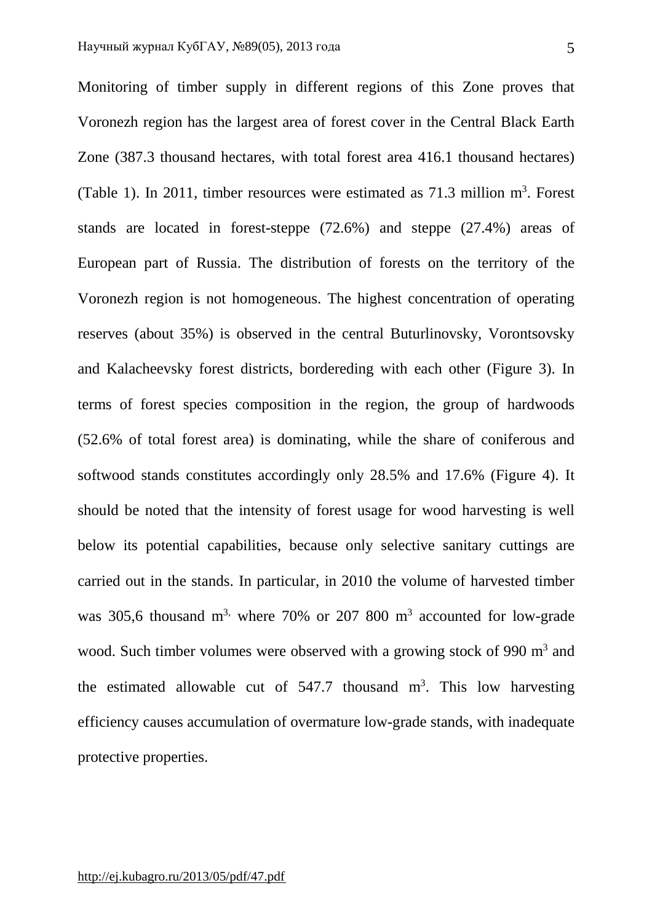Monitoring of timber supply in different regions of this Zone proves that Voronezh region has the largest area of forest cover in the Central Black Earth Zone (387.3 thousand hectares, with total forest area 416.1 thousand hectares) (Table 1). In 2011, timber resources were estimated as  $71.3$  million  $m<sup>3</sup>$ . Forest stands are located in forest-steppe (72.6%) and steppe (27.4%) areas of European part of Russia. The distribution of forests on the territory of the Voronezh region is not homogeneous. The highest concentration of operating reserves (about 35%) is observed in the central Buturlinovsky, Vorontsovsky and Kalacheevsky forest districts, bordereding with each other (Figure 3). In terms of forest species composition in the region, the group of hardwoods (52.6% of total forest area) is dominating, while the share of coniferous and softwood stands constitutes accordingly only 28.5% and 17.6% (Figure 4). It should be noted that the intensity of forest usage for wood harvesting is well below its potential capabilities, because only selective sanitary cuttings are carried out in the stands. In particular, in 2010 the volume of harvested timber was 305,6 thousand  $m^3$ , where 70% or 207 800  $m^3$  accounted for low-grade wood. Such timber volumes were observed with a growing stock of 990  $m<sup>3</sup>$  and the estimated allowable cut of  $547.7$  thousand  $m<sup>3</sup>$ . This low harvesting efficiency causes accumulation of overmature low-grade stands, with inadequate protective properties.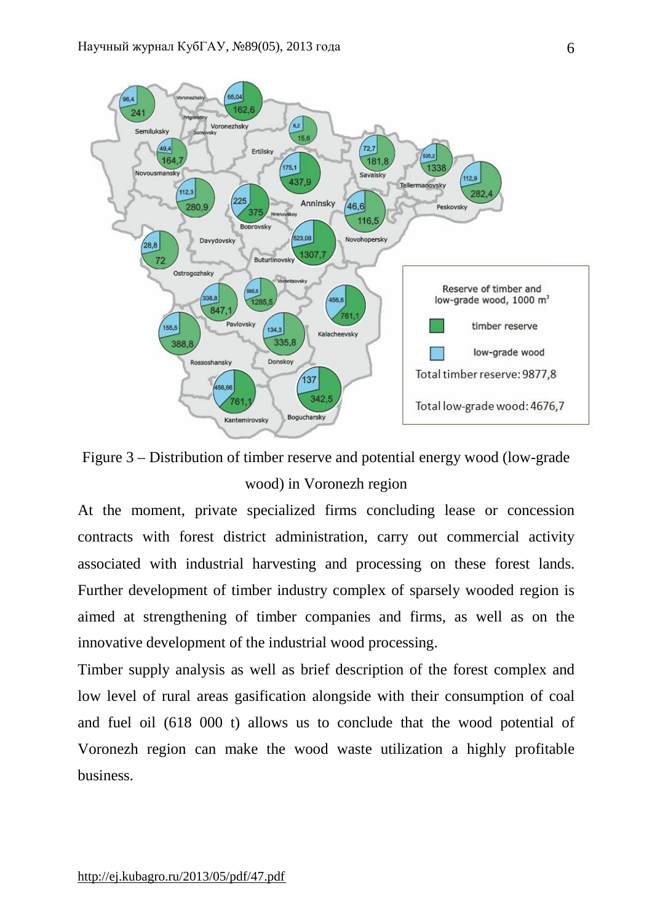

Figure 3 – Distribution of timber reserve and potential energy wood (low-grade wood) in Voronezh region

At the moment, private specialized firms concluding lease or concession contracts with forest district administration, carry out commercial activity associated with industrial harvesting and processing on these forest lands. Further development of timber industry complex of sparsely wooded region is aimed at strengthening of timber companies and firms, as well as on the innovative development of the industrial wood processing.

Timber supply analysis as well as brief description of the forest complex and low level of rural areas gasification alongside with their consumption of coal and fuel oil (618 000 t) allows us to conclude that the wood potential of Voronezh region can make the wood waste utilization a highly profitable business.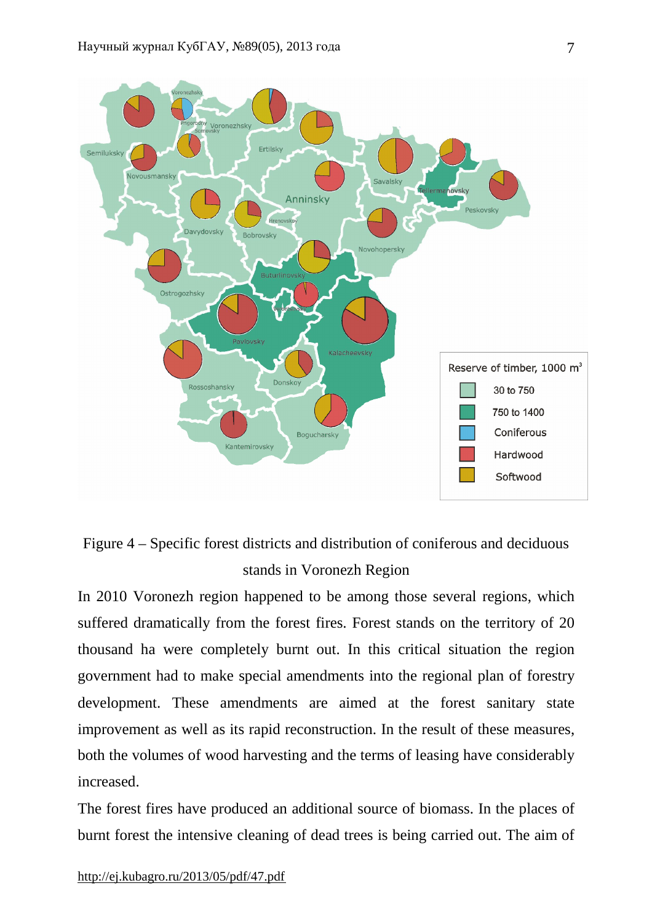



In 2010 Voronezh region happened to be among those several regions, which suffered dramatically from the forest fires. Forest stands on the territory of 20 thousand ha were completely burnt out. In this critical situation the region government had to make special amendments into the regional plan of forestry development. These amendments are aimed at the forest sanitary state improvement as well as its rapid reconstruction. In the result of these measures, both the volumes of wood harvesting and the terms of leasing have considerably increased.

The forest fires have produced an additional source of biomass. In the places of burnt forest the intensive cleaning of dead trees is being carried out. The aim of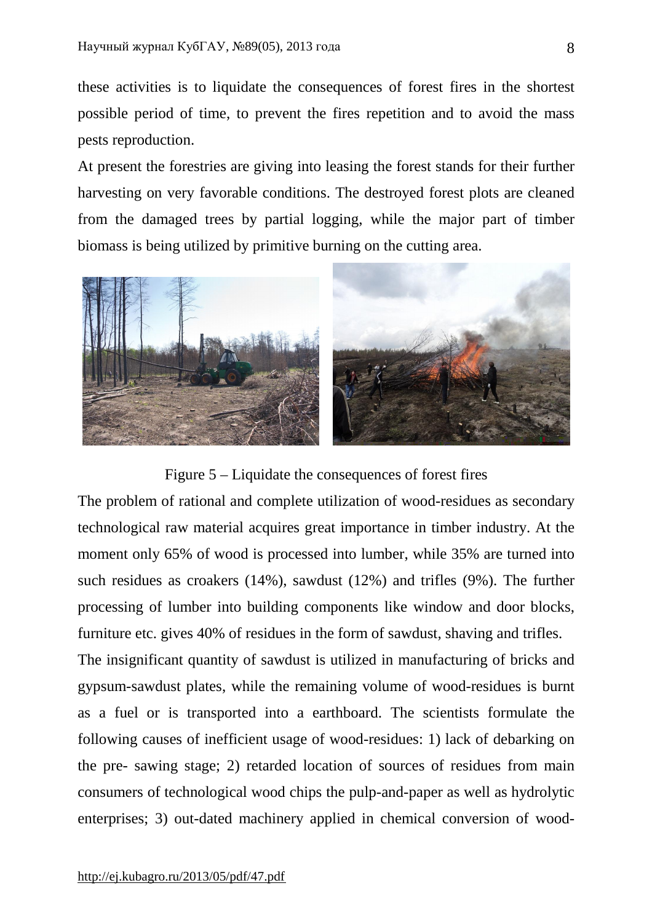these activities is to liquidate the consequences of forest fires in the shortest possible period of time, to prevent the fires repetition and to avoid the mass pests reproduction.

At present the forestries are giving into leasing the forest stands for their further harvesting on very favorable conditions. The destroyed forest plots are cleaned from the damaged trees by partial logging, while the major part of timber biomass is being utilized by primitive burning on the cutting area.



Figure  $5 -$ Liquidate the consequences of forest fires

The problem of rational and complete utilization of wood-residues as secondary technological raw material acquires great importance in timber industry. At the moment only 65% of wood is processed into lumber, while 35% are turned into such residues as croakers (14%), sawdust (12%) and trifles (9%). The further processing of lumber into building components like window and door blocks, furniture etc. gives 40% of residues in the form of sawdust, shaving and trifles.

The insignificant quantity of sawdust is utilized in manufacturing of bricks and gypsum-sawdust plates, while the remaining volume of wood-residues is burnt as a fuel or is transported into a earthboard. The scientists formulate the following causes of inefficient usage of wood-residues: 1) lack of debarking on the pre- sawing stage; 2) retarded location of sources of residues from main consumers of technological wood chips the pulp-and-paper as well as hydrolytic enterprises; 3) out-dated machinery applied in chemical conversion of wood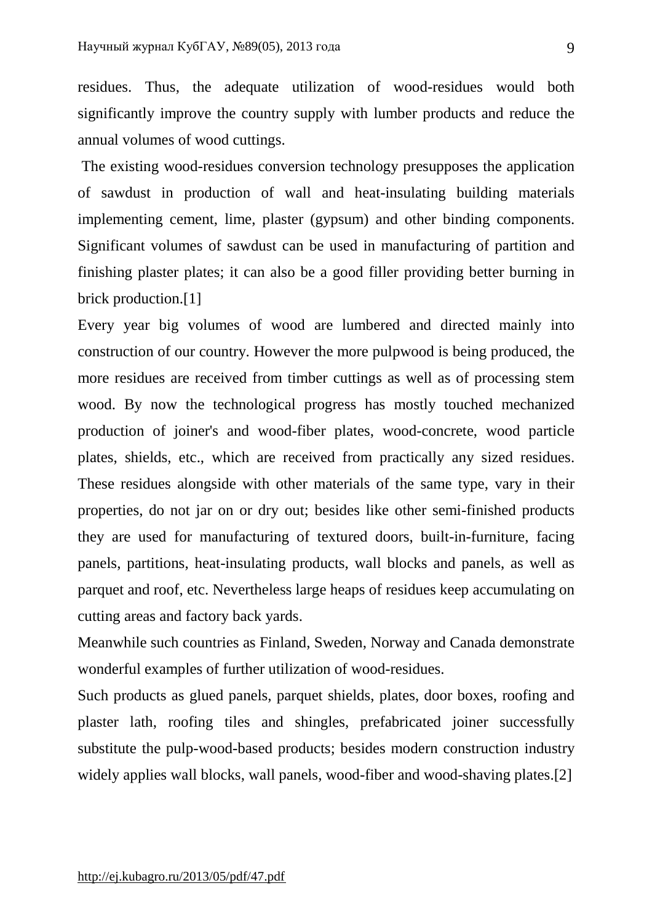residues. Thus, the adequate utilization of wood-residues would both significantly improve the country supply with lumber products and reduce the annual volumes of wood cuttings.

The existing wood-residues conversion technology presupposes the application of sawdust in production of wall and heat-insulating building materials implementing cement, lime, plaster (gypsum) and other binding components. Significant volumes of sawdust can be used in manufacturing of partition and finishing plaster plates; it can also be a good filler providing better burning in brick production.[1]

Every year big volumes of wood are lumbered and directed mainly into construction of our country. However the more pulpwood is being produced, the more residues are received from timber cuttings as well as of processing stem wood. By now the technological progress has mostly touched mechanized production of joiner's and wood-fiber plates, wood-concrete, wood particle plates, shields, etc., which are received from practically any sized residues. These residues alongside with other materials of the same type, vary in their properties, do not jar on or dry out; besides like other semi-finished products they are used for manufacturing of textured doors, built-in-furniture, facing panels, partitions, heat-insulating products, wall blocks and panels, as well as parquet and roof, etc. Nevertheless large heaps of residues keep accumulating on cutting areas and factory back yards.

Meanwhile such countries as Finland, Sweden, Norway and Canada demonstrate wonderful examples of further utilization of wood-residues.

Such products as glued panels, parquet shields, plates, door boxes, roofing and plaster lath, roofing tiles and shingles, prefabricated joiner successfully substitute the pulp-wood-based products; besides modern construction industry widely applies wall blocks, wall panels, wood-fiber and wood-shaving plates.[2]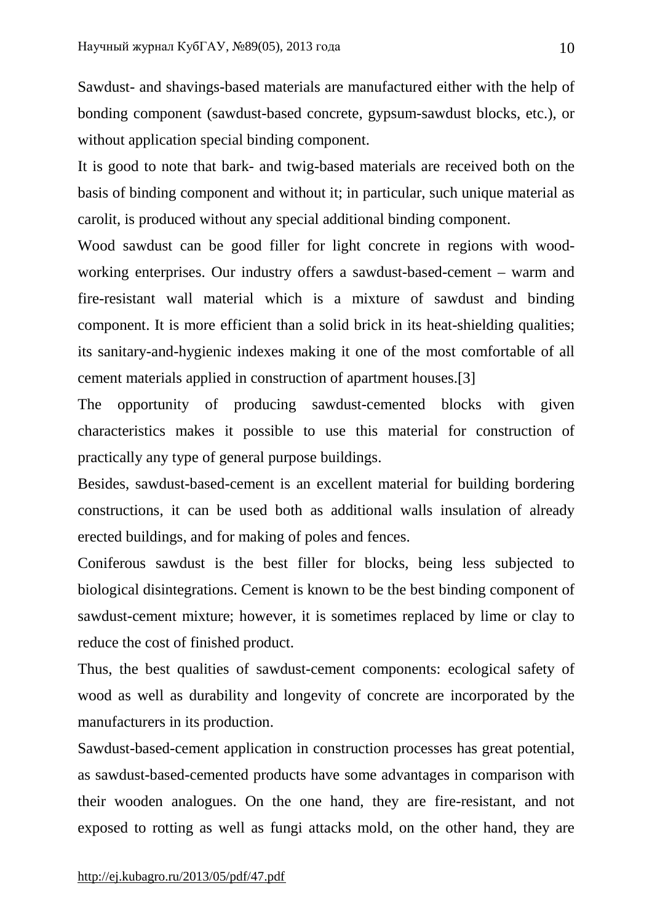Sawdust- and shavings-based materials are manufactured either with the help of bonding component (sawdust-based concrete, gypsum-sawdust blocks, etc.), or without application special binding component.

It is good to note that bark- and twig-based materials are received both on the basis of binding component and without it; in particular, such unique material as carolit, is produced without any special additional binding component.

Wood sawdust can be good filler for light concrete in regions with woodworking enterprises. Our industry offers a sawdust-based-cement – warm and fire-resistant wall material which is a mixture of sawdust and binding component. It is more efficient than a solid brick in its heat-shielding qualities; its sanitary-and-hygienic indexes making it one of the most comfortable of all cement materials applied in construction of apartment houses.[3]

The opportunity of producing sawdust-cemented blocks with given characteristics makes it possible to use this material for construction of practically any type of general purpose buildings.

Besides, sawdust-based-cement is an excellent material for building bordering constructions, it can be used both as additional walls insulation of already erected buildings, and for making of poles and fences.

Coniferous sawdust is the best filler for blocks, being less subjected to biological disintegrations. Cement is known to be the best binding component of sawdust-cement mixture; however, it is sometimes replaced by lime or clay to reduce the cost of finished product.

Thus, the best qualities of sawdust-cement components: ecological safety of wood as well as durability and longevity of concrete are incorporated by the manufacturers in its production.

Sawdust-based-cement application in construction processes has great potential, as sawdust-based-cemented products have some advantages in comparison with their wooden analogues. On the one hand, they are fire-resistant, and not exposed to rotting as well as fungi attacks mold, on the other hand, they are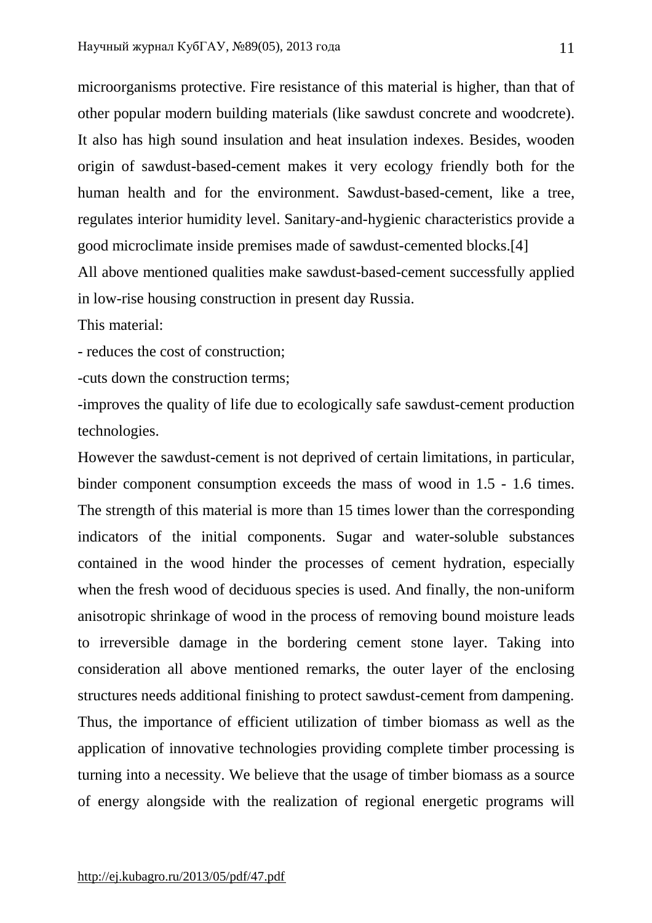microorganisms protective. Fire resistance of this material is higher, than that of other popular modern building materials (like sawdust concrete and woodcrete). It also has high sound insulation and heat insulation indexes. Besides, wooden origin of sawdust-based-cement makes it very ecology friendly both for the human health and for the environment. Sawdust-based-cement, like a tree, regulates interior humidity level. Sanitary-and-hygienic characteristics provide a good microclimate inside premises made of sawdust-cemented blocks.[4] All above mentioned qualities make sawdust-based-cement successfully applied

in low-rise housing construction in present day Russia.

This material:

- reduces the cost of construction;

-cuts down the construction terms;

-improves the quality of life due to ecologically safe sawdust-cement production technologies.

However the sawdust-cement is not deprived of certain limitations, in particular, binder component consumption exceeds the mass of wood in 1.5 - 1.6 times. The strength of this material is more than 15 times lower than the corresponding indicators of the initial components. Sugar and water-soluble substances contained in the wood hinder the processes of cement hydration, especially when the fresh wood of deciduous species is used. And finally, the non-uniform anisotropic shrinkage of wood in the process of removing bound moisture leads to irreversible damage in the bordering cement stone layer. Taking into consideration all above mentioned remarks, the outer layer of the enclosing structures needs additional finishing to protect sawdust-cement from dampening. Thus, the importance of efficient utilization of timber biomass as well as the application of innovative technologies providing complete timber processing is turning into a necessity. We believe that the usage of timber biomass as a source of energy alongside with the realization of regional energetic programs will